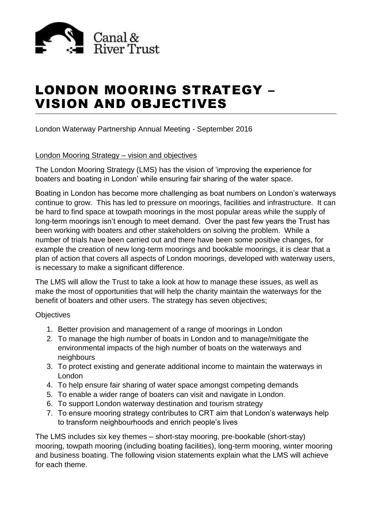

# LONDON MOORING STRATEGY – VISION AND OBJECTIVES

London Waterway Partnership Annual Meeting - September 2016

# London Mooring Strategy – vision and objectives

The London Mooring Strategy (LMS) has the vision of 'improving the experience for boaters and boating in London' while ensuring fair sharing of the water space.

Boating in London has become more challenging as boat numbers on London's waterways continue to grow. This has led to pressure on moorings, facilities and infrastructure. It can be hard to find space at towpath moorings in the most popular areas while the supply of long-term moorings isn't enough to meet demand. Over the past few years the Trust has been working with boaters and other stakeholders on solving the problem. While a number of trials have been carried out and there have been some positive changes, for example the creation of new long-term moorings and bookable moorings, it is clear that a plan of action that covers all aspects of London moorings, developed with waterway users, is necessary to make a significant difference.

The LMS will allow the Trust to take a look at how to manage these issues, as well as make the most of opportunities that will help the charity maintain the waterways for the benefit of boaters and other users. The strategy has seven objectives;

## **Objectives**

- 1. Better provision and management of a range of moorings in London
- 2. To manage the high number of boats in London and to manage/mitigate the environmental impacts of the high number of boats on the waterways and neighbours
- 3. To protect existing and generate additional income to maintain the waterways in London
- 4. To help ensure fair sharing of water space amongst competing demands
- 5. To enable a wider range of boaters can visit and navigate in London.
- 6. To support London waterway destination and tourism strategy
- 7. To ensure mooring strategy contributes to CRT aim that London's waterways help to transform neighbourhoods and enrich people's lives

The LMS includes six key themes – short-stay mooring, pre-bookable (short-stay) mooring, towpath mooring (including boating facilities), long-term mooring, winter mooring and business boating. The following vision statements explain what the LMS will achieve for each theme.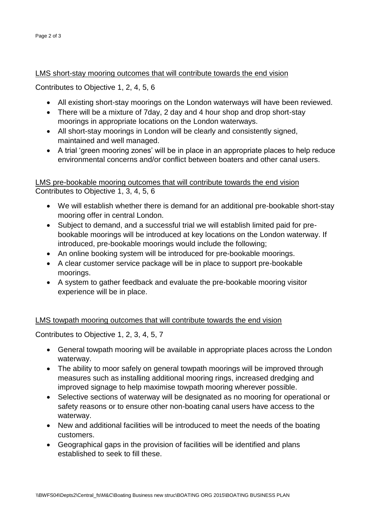#### LMS short-stay mooring outcomes that will contribute towards the end vision

Contributes to Objective 1, 2, 4, 5, 6

- All existing short-stay moorings on the London waterways will have been reviewed.
- There will be a mixture of 7day, 2 day and 4 hour shop and drop short-stay moorings in appropriate locations on the London waterways.
- All short-stay moorings in London will be clearly and consistently signed, maintained and well managed.
- A trial 'green mooring zones' will be in place in an appropriate places to help reduce environmental concerns and/or conflict between boaters and other canal users.

LMS pre-bookable mooring outcomes that will contribute towards the end vision Contributes to Objective 1, 3, 4, 5, 6

- We will establish whether there is demand for an additional pre-bookable short-stay mooring offer in central London.
- Subject to demand, and a successful trial we will establish limited paid for prebookable moorings will be introduced at key locations on the London waterway. If introduced, pre-bookable moorings would include the following;
- An online booking system will be introduced for pre-bookable moorings.
- A clear customer service package will be in place to support pre-bookable moorings.
- A system to gather feedback and evaluate the pre-bookable mooring visitor experience will be in place.

## LMS towpath mooring outcomes that will contribute towards the end vision

Contributes to Objective 1, 2, 3, 4, 5, 7

- General towpath mooring will be available in appropriate places across the London waterway.
- The ability to moor safely on general towpath moorings will be improved through measures such as installing additional mooring rings, increased dredging and improved signage to help maximise towpath mooring wherever possible.
- Selective sections of waterway will be designated as no mooring for operational or safety reasons or to ensure other non-boating canal users have access to the waterway.
- New and additional facilities will be introduced to meet the needs of the boating customers.
- Geographical gaps in the provision of facilities will be identified and plans established to seek to fill these.